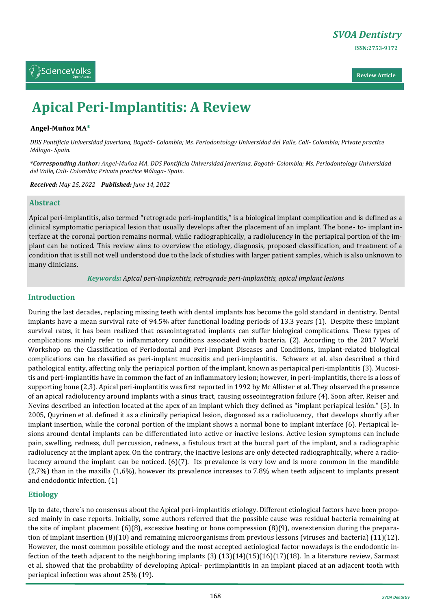



# **Apical Peri-Implantitis: A Review**

#### **Angel-Muñoz MA\***

*DDS Pontificia Universidad Javeriana, Bogotá- Colombia; Ms. Periodontology Universidad del Valle, Cali- Colombia; Private practice Málaga- Spain.*

*\*Corresponding Author: Angel-Muñoz MA, DDS Pontificia Universidad Javeriana, Bogotá- Colombia; Ms. Periodontology Universidad del Valle, Cali- Colombia; Private practice Málaga- Spain.*

*Received: May 25, 2022 Published: June 14, 2022*

#### **Abstract**

Apical peri-implantitis, also termed "retrograde peri-implantitis," is a biological implant complication and is defined as a clinical symptomatic periapical lesion that usually develops after the placement of an implant. The bone- to- implant interface at the coronal portion remains normal, while radiographically, a radiolucency in the periapical portion of the implant can be noticed. This review aims to overview the etiology, diagnosis, proposed classification, and treatment of a condition that is still not well understood due to the lack of studies with larger patient samples, which is also unknown to many clinicians.

*Keywords: Apical peri-implantitis, retrograde peri-implantitis, apical implant lesions*

#### **Introduction**

During the last decades, replacing missing teeth with dental implants has become the gold standard in dentistry. Dental implants have a mean survival rate of 94.5% after functional loading periods of 13.3 years (1). Despite these implant survival rates, it has been realized that osseointegrated implants can suffer biological complications. These types of complications mainly refer to inflammatory conditions associated with bacteria. (2). According to the 2017 World Workshop on the Classification of Periodontal and Peri-Implant Diseases and Conditions, implant-related biological complications can be classified as peri-implant mucositis and peri-implantitis. Schwarz et al. also described a third pathological entity, affecting only the periapical portion of the implant, known as periapical peri-implantitis (3). Mucositis and peri-implantitis have in common the fact of an inflammatory lesion; however, in peri-implantitis, there is a loss of supporting bone (2,3). Apical peri-implantitis was first reported in 1992 by Mc Allister et al. They observed the presence of an apical radiolucency around implants with a sinus tract, causing osseointegration failure (4). Soon after, Reiser and Nevins described an infection located at the apex of an implant which they defined as "implant periapical lesión." (5). In 2005, Quyrinen et al. defined it as a clinically periapical lesion, diagnosed as a radiolucency, that develops shortly after implant insertion, while the coronal portion of the implant shows a normal bone to implant interface (6). Periapical lesions around dental implants can be differentiated into active or inactive lesions. Active lesion symptoms can include pain, swelling, redness, dull percussion, redness, a fistulous tract at the buccal part of the implant, and a radiographic radiolucency at the implant apex. On the contrary, the inactive lesions are only detected radiographically, where a radiolucency around the implant can be noticed. (6)(7). Its prevalence is very low and is more common in the mandible (2,7%) than in the maxilla (1,6%), however its prevalence increases to 7.8% when teeth adjacent to implants present and endodontic infection. (1)

## **Etiology**

Up to date, there´s no consensus about the Apical peri-implantitis etiology. Different etiological factors have been proposed mainly in case reports. Initially, some authors referred that the possible cause was residual bacteria remaining at the site of implant placement (6)(8), excessive heating or bone compression (8)(9), overextension during the preparation of implant insertion (8)(10) and remaining microorganisms from previous lessons (viruses and bacteria) (11)(12). However, the most common possible etiology and the most accepted aetiological factor nowadays is the endodontic infection of the teeth adjacent to the neighboring implants  $(3)(13)(14)(15)(16)(17)(18)$ . In a literature review, Sarmast et al. showed that the probability of developing Apical- periimplantitis in an implant placed at an adjacent tooth with periapical infection was about 25% (19).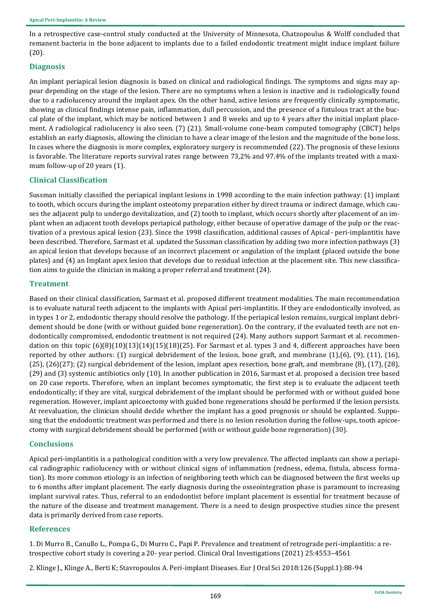In a retrospective case-control study conducted at the University of Minnesota, Chatzopoulus & Wolff concluded that remanent bacteria in the bone adjacent to implants due to a failed endodontic treatment might induce implant failure (20).

## **Diagnosis**

An implant periapical lesion diagnosis is based on clinical and radiological findings. The symptoms and signs may appear depending on the stage of the lesion. There are no symptoms when a lesion is inactive and is radiologically found due to a radiolucency around the implant apex. On the other hand, active lesions are frequently clinically symptomatic, showing as clinical findings intense pain, inflammation, dull percussion, and the presence of a fistulous tract at the buccal plate of the implant, which may be noticed between 1 and 8 weeks and up to 4 years after the initial implant placement. A radiological radiolucency is also seen. (7) (21). Small-volume cone-beam computed tomography (CBCT) helps establish an early diagnosis, allowing the clinician to have a clear image of the lesion and the magnitude of the bone loss. In cases where the diagnosis is more complex, exploratory surgery is recommended (22). The prognosis of these lesions is favorable. The literature reports survival rates range between 73,2% and 97.4% of the implants treated with a maximum follow-up of 20 years (1).

# **Clinical Classification**

Sussman initially classified the periapical implant lesions in 1998 according to the main infection pathway: (1) implant to tooth, which occurs during the implant osteotomy preparation either by direct trauma or indirect damage, which causes the adjacent pulp to undergo devitalization, and (2) tooth to implant, which occurs shortly after placement of an implant when an adjacent tooth develops periapical pathology, either because of operative damage of the pulp or the reactivation of a previous apical lesion (23). Since the 1998 classification, additional causes of Apical- peri-implantitis have been described. Therefore, Sarmast et al. updated the Sussman classification by adding two more infection pathways (3) an apical lesion that develops because of an incorrect placement or angulation of the implant (placed outside the bone plates) and (4) an Implant apex lesion that develops due to residual infection at the placement site. This new classification aims to guide the clinician in making a proper referral and treatment (24).

## **Treatment**

Based on their clinical classification, Sarmast et al. proposed different treatment modalities. The main recommendation is to evaluate natural teeth adjacent to the implants with Apical peri-implantitis. If they are endodontically involved, as in types 1 or 2, endodontic therapy should resolve the pathology. If the periapical lesion remains, surgical implant debridement should be done (with or without guided bone regeneration). On the contrary, if the evaluated teeth are not endodontically compromised, endodontic treatment is not required (24). Many authors support Sarmast et al. recommendation on this topic  $(6)(8)(10)(13)(14)(15)(18)(25)$ . For Sarmast et al. types 3 and 4, different approaches have been reported by other authors: (1) surgical debridement of the lesion, bone graft, and membrane (1),(6), (9), (11), (16), (25), (26)(27); (2) surgical debridement of the lesion, implant apex resection, bone graft, and membrane (8), (17), (28), (29) and (3) systemic antibiotics only (10). In another publication in 2016, Sarmast et al. proposed a decision tree based on 20 case reports. Therefore, when an implant becomes symptomatic, the first step is to evaluate the adjacent teeth endodontically; if they are vital, surgical debridement of the implant should be performed with or without guided bone regeneration. However, implant apicoectomy with guided bone regenerations should be performed if the lesion persists. At reevaluation, the clinician should decide whether the implant has a good prognosis or should be explanted. Supposing that the endodontic treatment was performed and there is no lesion resolution during the follow-ups, tooth apicoectomy with surgical debridement should be performed (with or without guide bone regeneration) (30).

# **Conclusions**

Apical peri-implantitis is a pathological condition with a very low prevalence. The affected implants can show a periapical radiographic radiolucency with or without clinical signs of inflammation (redness, edema, fistula, abscess formation). Its more common etiology is an infection of neighboring teeth which can be diagnosed between the first weeks up to 6 months after implant placement. The early diagnosis during the osseointegration phase is paramount to increasing implant survival rates. Thus, referral to an endodontist before implant placement is essential for treatment because of the nature of the disease and treatment management. There is a need to design prospective studies since the present data is primarily derived from case reports.

# **References**

[1. Di Murro B., Canullo L., Pompa G., Di Murro C., Papi P. Prevalence and treatment of retrograde peri](https://pubmed.ncbi.nlm.nih.gov/33443685/)-implantitis: a retrospective cohort study is covering a 20- [year period. Clinical Oral Investigations \(2021\)](https://pubmed.ncbi.nlm.nih.gov/33443685/) 25:4553–4561

2. Klinge J., Klinge A., Berti K; Stavropoulos A. Peri-[implant Diseases. Eur J Oral Sci 2018:126 \(Suppl.1\):88](https://pubmed.ncbi.nlm.nih.gov/30178555/)-94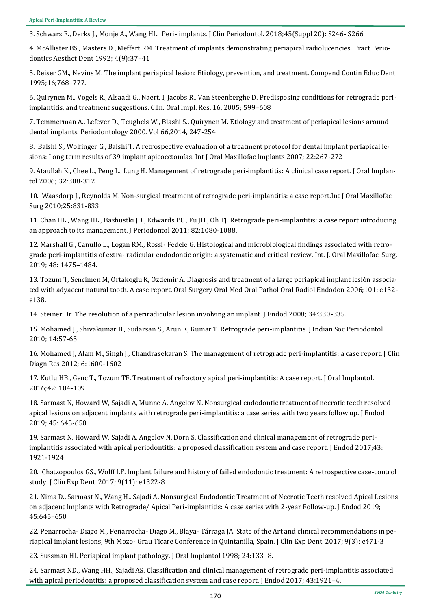3. Schwarz F., Derks J., Monje A., Wang HL. Peri- [implants. J Clin Periodontol. 2018;45\(Suppl 20\): S246](https://pubmed.ncbi.nlm.nih.gov/29926484/)- S266

[4. McAllister BS., Masters D., Meffert RM. Treatment of implants demonstrating periapical radiolucencies. Pract Perio](https://pubmed.ncbi.nlm.nih.gov/1308162/)[dontics Aesthet Dent 1992;](https://pubmed.ncbi.nlm.nih.gov/1308162/) 4(9):37–41

[5. Reiser GM., Nevins M. The implant periapical lesion: Etiology, prevention, and treatment. Compend Contin Educ Dent](https://pubmed.ncbi.nlm.nih.gov/8620395/#:~:text=Bone%20necrosis%20caused%20by%20overheating,type%20is%20observed%20and%20monitored.)  [1995;16;768](https://pubmed.ncbi.nlm.nih.gov/8620395/#:~:text=Bone%20necrosis%20caused%20by%20overheating,type%20is%20observed%20and%20monitored.)–777.

[6. Quirynen M., Vogels R., Alsaadi G., Naert. I, Jacobs R., Van Steenberghe D. Predisposing conditions for retrograde peri](https://pubmed.ncbi.nlm.nih.gov/16164468/)[implantitis, and treatment suggestions. Clin. Oral Impl. Res. 16, 2005;](https://pubmed.ncbi.nlm.nih.gov/16164468/) 599–608

[7. Temmerman A., Lefever D., Teughels W., Blashi S., Quirynen M. Etiology and treatment of periapical lesions around](https://pubmed.ncbi.nlm.nih.gov/25123772/)  [dental implants. Periodontology 2000. Vol 66,2014, 247](https://pubmed.ncbi.nlm.nih.gov/25123772/)-254

[8. Balshi S., Wolfinger G., Balshi T. A retrospective evaluation of a treatment protocol for dental implant periapical le](https://pubmed.ncbi.nlm.nih.gov/17465352/)sions: Long term results of 39 implant apicoectomías. Int J Oral Maxillofac Implants 2007; 22:267-272

[9. Ataullah K., Chee L., Peng L., Lung H. Management of retrograde peri](https://pubmed.ncbi.nlm.nih.gov/17193933/)-implantitis: A clinical case report. J Oral Implan[tol 2006; 32:308](https://pubmed.ncbi.nlm.nih.gov/17193933/)-312

10. Waasdorp J., Reynolds M. Non-surgical treatment of retrograde peri-[implantitis: a case report.Int J Oral Maxillofac](https://pubmed.ncbi.nlm.nih.gov/20657882/)  [Surg 2010;25:831](https://pubmed.ncbi.nlm.nih.gov/20657882/)-833

[11. Chan HL., Wang HL., Bashustki JD., Edwards PC., Fu JH., Oh TJ. Retrograde peri](https://pubmed.ncbi.nlm.nih.gov/21138359/)-implantitis: a case report introducing [an approach to its management. J Periodontol 2011; 82:1080](https://pubmed.ncbi.nlm.nih.gov/21138359/)-1088.

12. Marshall G., Canullo L., Logan RM., Rossi- [Fedele G. Histological and microbiological findings associated with retro](https://pubmed.ncbi.nlm.nih.gov/31088705/)grade peri-implantitis of extra- [radicular endodontic origin: a systematic and critical review. Int. J. Oral Maxillofac. Surg.](https://pubmed.ncbi.nlm.nih.gov/31088705/)  [2019; 48: 1475](https://pubmed.ncbi.nlm.nih.gov/31088705/)–1484.

13. Tozum T, Sencimen M, Ortakoglu K, Ozdemir A. Diagnosis and treatment of a large periapical implant lesión associa[ted with adyacent natural tooth. A case report. Oral Surgery Oral Med Oral Pathol Oral Radiol Endodon 2006;101: e132](https://pubmed.ncbi.nlm.nih.gov/16731377/) [e138.](https://pubmed.ncbi.nlm.nih.gov/16731377/)

[14. Steiner Dr. The resolution of a periradicular lesion involving an implant. J Endod 2008; 34:330](https://pubmed.ncbi.nlm.nih.gov/18291288/)-335.

[15. Mohamed J., Shivakumar B., Sudarsan S., Arun K, Kumar T. Retrograde peri](https://www.jisponline.com/article.asp?issn=0972-124X;year=2010;volume=14;issue=1;spage=57;epage=65;aulast=Mohamed)-implantitis. J Indian Soc Periodontol [2010; 14:57](https://www.jisponline.com/article.asp?issn=0972-124X;year=2010;volume=14;issue=1;spage=57;epage=65;aulast=Mohamed)-65

[16. Mohamed J, Alam M., Singh J., Chandrasekaran S. The management of retrograde peri](https://www.ncbi.nlm.nih.gov/pmc/articles/PMC3527812/)-implantitis: a case report. J Clin [Diagn Res 2012; 6:1600](https://www.ncbi.nlm.nih.gov/pmc/articles/PMC3527812/)-1602

[17. Kutlu HB., Genc T., Tozum TF. Treatment of refractory apical peri](https://meridian.allenpress.com/joi/article/42/1/104/2535/Treatment-of-Refractory-Apical-Peri-Implantitis-A)-implantitis: A case report. J Oral Implantol. [2016;42: 104](https://meridian.allenpress.com/joi/article/42/1/104/2535/Treatment-of-Refractory-Apical-Peri-Implantitis-A)-109

[18. Sarmast N, Howard W, Sajadi A, Munne A, Angelov N. Nonsurgical endodontic treatment of necrotic teeth resolved](https://pubmed.ncbi.nlm.nih.gov/30827770/)  apical lesions on adjacent implants with retrograde peri-[implantitis: a case series with two years follow up. J Endod](https://pubmed.ncbi.nlm.nih.gov/30827770/)  [2019; 45: 645](https://pubmed.ncbi.nlm.nih.gov/30827770/)-650

[19. Sarmast N, Howard W, Sajadi A, Angelov N, Dorn S. Classification and clinical management of retrograde peri](https://pubmed.ncbi.nlm.nih.gov/28822567/)[implantitis associated with apical periodontitis: a proposed classification system and case report. J Endod 2017;43:](https://pubmed.ncbi.nlm.nih.gov/28822567/)  1921-[1924](https://pubmed.ncbi.nlm.nih.gov/28822567/)

[20. Chatzopoulos GS., Wolff LF. Implant failure and history of failed endodontic treatment: A retrospective case](https://pubmed.ncbi.nlm.nih.gov/29302285/)-control [study. J Clin Exp Dent. 2017; 9\(11\): e1322](https://pubmed.ncbi.nlm.nih.gov/29302285/)-8

[21. Nima D., Sarmast N., Wang H., Sajadi A. Nonsurgical Endodontic Treatment of Necrotic Teeth resolved Apical Lesions](https://pubmed.ncbi.nlm.nih.gov/30827770/)  [on adjacent Implants with Retrograde/ Apical Peri](https://pubmed.ncbi.nlm.nih.gov/30827770/)-implantitis: A case series with 2-year Follow-up. J Endod 2019; [45:645](https://pubmed.ncbi.nlm.nih.gov/30827770/)–650

22. Peñarrocha- Diago M., Peñarrocha- Diago M., Blaya- Tárraga JA. State of the Art and clinical recommendations in periapical implant lesions, 9th Mozo- [Grau Ticare Conference in Quintanilla, Spain. J Clin Exp Dent. 2017; 9\(3\): e471](https://pubmed.ncbi.nlm.nih.gov/28298994/)-3

[23. Sussman HI. Periapical implant pathology. J Oral Implantol 1998;](https://pubmed.ncbi.nlm.nih.gov/9893519/) 24:133−8.

[24. Sarmast ND., Wang HH., Sajadi AS. Classification and clinical management of retrograde peri](https://pubmed.ncbi.nlm.nih.gov/28822567/)-implantitis associated [with apical periodontitis: a proposed classification system and case report. J Endod 2017;](https://pubmed.ncbi.nlm.nih.gov/28822567/) 43:1921-4.